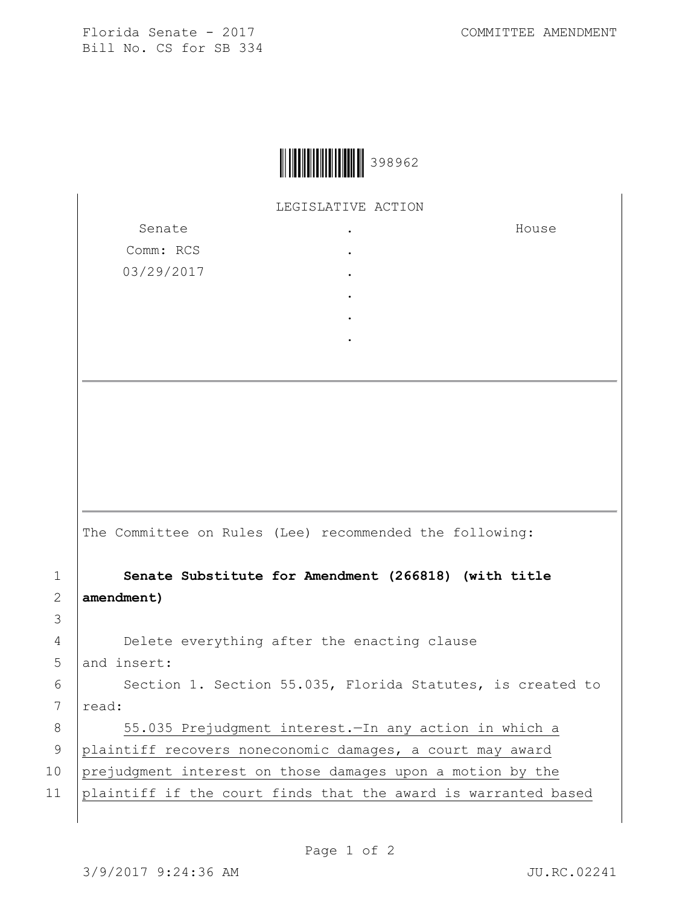House



LEGISLATIVE ACTION

Senate Comm: RCS 03/29/2017 . . . . . .

The Committee on Rules (Lee) recommended the following:

1 **Senate Substitute for Amendment (266818) (with title**  2 **amendment)**

4 Delete everything after the enacting clause 5 and insert:

6 | Section 1. Section 55.035, Florida Statutes, is created to  $7$   $\vert$  read:

8 | 55.035 Prejudgment interest. - In any action in which a 9 plaintiff recovers noneconomic damages, a court may award 10 prejudgment interest on those damages upon a motion by the 11 plaintiff if the court finds that the award is warranted based

3